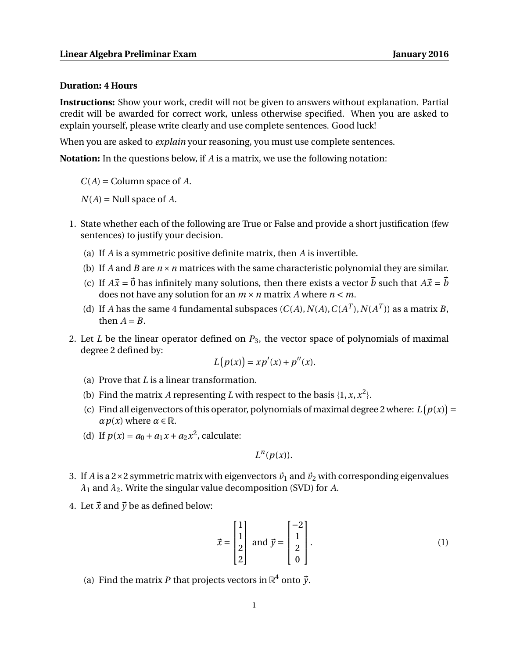## **Duration: 4 Hours**

**Instructions:** Show your work, credit will not be given to answers without explanation. Partial credit will be awarded for correct work, unless otherwise specified. When you are asked to explain yourself, please write clearly and use complete sentences. Good luck!

When you are asked to *explain* your reasoning, you must use complete sentences.

**Notation:** In the questions below, if *A* is a matrix, we use the following notation:

 $C(A)$  = Column space of  $A$ .

 $N(A)$  = Null space of *A*.

- 1. State whether each of the following are True or False and provide a short justification (few sentences) to justify your decision.
	- (a) If *A* is a symmetric positive definite matrix, then *A* is invertible.
	- (b) If *A* and *B* are  $n \times n$  matrices with the same characteristic polynomial they are similar.
	- (c) If  $A\vec{x} = \vec{0}$  has infinitely many solutions, then there exists a vector b such that  $A\vec{x} = \vec{b}$ does not have any solution for an  $m \times n$  matrix *A* where  $n \le m$ .
	- (d) If *A* has the same 4 fundamental subspaces  $(C(A), N(A), C(A^T), N(A^T))$  as a matrix *B*, then  $A = B$ .
- 2. Let *L* be the linear operator defined on *P*3, the vector space of polynomials of maximal degree 2 defined by: <sup>=</sup> *xp*<sup>0</sup>

$$
L(p(x)) = xp'(x) + p''(x).
$$

- (a) Prove that *L* is a linear transformation.
- (b) Find the matrix *A* representing *L* with respect to the basis  $\{1, x, x^2\}$ .
- (c) Find all eigenvectors of this operator, polynomials of maximal degree 2 where:  $L(p(x)) =$  $\alpha p(x)$  where  $\alpha \in \mathbb{R}$ .
- (d) If  $p(x) = a_0 + a_1x + a_2x^2$ , calculate:

$$
L^n(p(x)).
$$

- 3. If *A* is a 2 × 2 symmetric matrix with eigenvectors  $\vec{v}_1$  and  $\vec{v}_2$  with corresponding eigenvalues *λ*<sup>1</sup> and *λ*2. Write the singular value decomposition (SVD) for *A*.
- 4. Let  $\vec{x}$  and  $\vec{y}$  be as defined below:

$$
\vec{x} = \begin{bmatrix} 1 \\ 1 \\ 2 \\ 2 \end{bmatrix} \text{ and } \vec{y} = \begin{bmatrix} -2 \\ 1 \\ 2 \\ 0 \end{bmatrix}.
$$
 (1)

(a) Find the matrix *P* that projects vectors in  $\mathbb{R}^4$  onto  $\vec{y}$ .